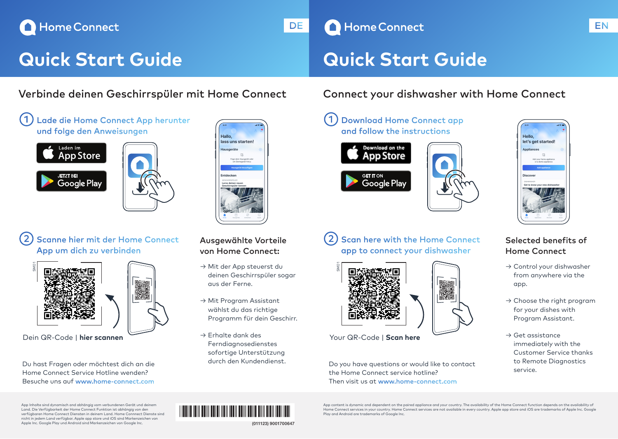# Home Connect

# **Quick Start Guide Quick Start Guide**

## Verbinde deinen Geschirrspüler mit Home Connect Connect your dishwasher with Home Connect











## Scanne hier mit der Home Connect App um dich zu verbinden



Du hast Fragen oder möchtest dich an die Home Connect Service Hotline wenden? Besuche uns auf www.home-connect.com

## Ausgewählte Vorteile von Home Connect:

- → Mit der App steuerst du deinen Geschirrspüler sogar aus der Ferne.
- → Mit Program Assistant wählst du das richtige Programm für dein Geschirr.
- $\rightarrow$  Erhalte dank des Ferndiagnosedienstes sofortige Unterstützung durch den Kundendienst.

## $\left( 2\right)$  Scan here with the Home Connect app to connect your dishwasher



Your QR-Code | **Scan here**

SM01

Do you have questions or would like to contact the Home Connect service hotline? Then visit us at www.home-connect.com





**Hello** let's get started! 良

## Selected benefits of Home Connect

- → Control your dishwasher from anywhere via the app.
- $\rightarrow$  Choose the right program for your dishes with Program Assistant.
- $\rightarrow$  Get assistance immediately with the Customer Service thanks to Remote Diagnostics service.

App Inhalte sind dynamisch and abhängig vom verbundenen Gerät und deinem Land. Die Verfügbarkeit der Home Connect Funktion ist abhängig von den verfügbaren Home Connect Diensten in deinem Land. Home Connnect Dienste sind nicht in jedem Land verfügbar. Apple app store und iOS sind Markenzeichen von Apple Inc. Google Play und Android sind Markenzeichen von Google Inc.



App content is dynamic and dependent on the paired appliance and your country. The availability of the Home Connect function depends on the availability of Home Connect services in your country. Home Connect services are not available in every country. Apple app store and iOS are trademarks of Apple Inc. Google Play and Android are trademarks of Google Inc.